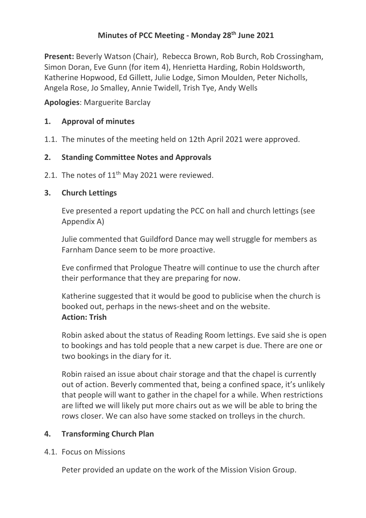## **Minutes of PCC Meeting - Monday 28th June 2021**

**Present:** Beverly Watson (Chair), Rebecca Brown, Rob Burch, Rob Crossingham, Simon Doran, Eve Gunn (for item 4), Henrietta Harding, Robin Holdsworth, Katherine Hopwood, Ed Gillett, Julie Lodge, Simon Moulden, Peter Nicholls, Angela Rose, Jo Smalley, Annie Twidell, Trish Tye, Andy Wells

**Apologies**: Marguerite Barclay

## **1. Approval of minutes**

1.1. The minutes of the meeting held on 12th April 2021 were approved.

## **2. Standing Committee Notes and Approvals**

2.1. The notes of 11<sup>th</sup> May 2021 were reviewed.

## **3. Church Lettings**

Eve presented a report updating the PCC on hall and church lettings (see Appendix A)

Julie commented that Guildford Dance may well struggle for members as Farnham Dance seem to be more proactive.

Eve confirmed that Prologue Theatre will continue to use the church after their performance that they are preparing for now.

Katherine suggested that it would be good to publicise when the church is booked out, perhaps in the news-sheet and on the website. **Action: Trish**

Robin asked about the status of Reading Room lettings. Eve said she is open to bookings and has told people that a new carpet is due. There are one or two bookings in the diary for it.

Robin raised an issue about chair storage and that the chapel is currently out of action. Beverly commented that, being a confined space, it's unlikely that people will want to gather in the chapel for a while. When restrictions are lifted we will likely put more chairs out as we will be able to bring the rows closer. We can also have some stacked on trolleys in the church.

## **4. Transforming Church Plan**

4.1. Focus on Missions

Peter provided an update on the work of the Mission Vision Group.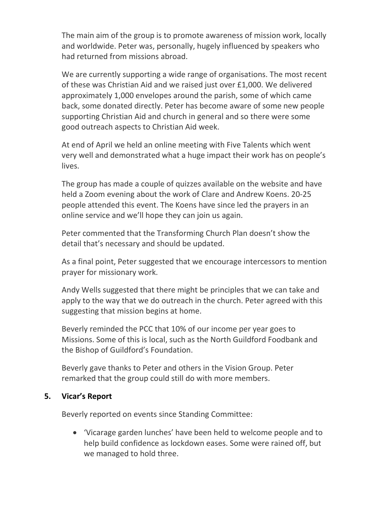The main aim of the group is to promote awareness of mission work, locally and worldwide. Peter was, personally, hugely influenced by speakers who had returned from missions abroad.

We are currently supporting a wide range of organisations. The most recent of these was Christian Aid and we raised just over £1,000. We delivered approximately 1,000 envelopes around the parish, some of which came back, some donated directly. Peter has become aware of some new people supporting Christian Aid and church in general and so there were some good outreach aspects to Christian Aid week.

At end of April we held an online meeting with Five Talents which went very well and demonstrated what a huge impact their work has on people's lives.

The group has made a couple of quizzes available on the website and have held a Zoom evening about the work of Clare and Andrew Koens. 20-25 people attended this event. The Koens have since led the prayers in an online service and we'll hope they can join us again.

Peter commented that the Transforming Church Plan doesn't show the detail that's necessary and should be updated.

As a final point, Peter suggested that we encourage intercessors to mention prayer for missionary work.

Andy Wells suggested that there might be principles that we can take and apply to the way that we do outreach in the church. Peter agreed with this suggesting that mission begins at home.

Beverly reminded the PCC that 10% of our income per year goes to Missions. Some of this is local, such as the North Guildford Foodbank and the Bishop of Guildford's Foundation.

Beverly gave thanks to Peter and others in the Vision Group. Peter remarked that the group could still do with more members.

### **5. Vicar's Report**

Beverly reported on events since Standing Committee:

• 'Vicarage garden lunches' have been held to welcome people and to help build confidence as lockdown eases. Some were rained off, but we managed to hold three.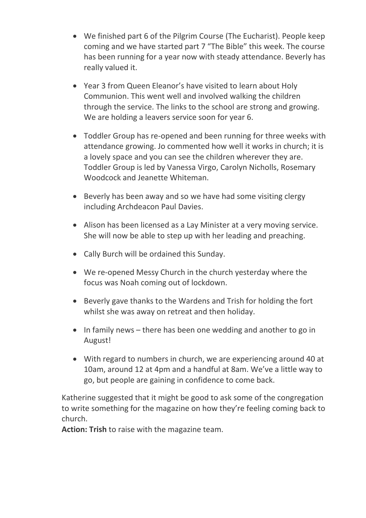- We finished part 6 of the Pilgrim Course (The Eucharist). People keep coming and we have started part 7 "The Bible" this week. The course has been running for a year now with steady attendance. Beverly has really valued it.
- Year 3 from Queen Eleanor's have visited to learn about Holy Communion. This went well and involved walking the children through the service. The links to the school are strong and growing. We are holding a leavers service soon for year 6.
- Toddler Group has re-opened and been running for three weeks with attendance growing. Jo commented how well it works in church; it is a lovely space and you can see the children wherever they are. Toddler Group is led by Vanessa Virgo, Carolyn Nicholls, Rosemary Woodcock and Jeanette Whiteman.
- Beverly has been away and so we have had some visiting clergy including Archdeacon Paul Davies.
- Alison has been licensed as a Lay Minister at a very moving service. She will now be able to step up with her leading and preaching.
- Cally Burch will be ordained this Sunday.
- We re-opened Messy Church in the church yesterday where the focus was Noah coming out of lockdown.
- Beverly gave thanks to the Wardens and Trish for holding the fort whilst she was away on retreat and then holiday.
- In family news there has been one wedding and another to go in August!
- With regard to numbers in church, we are experiencing around 40 at 10am, around 12 at 4pm and a handful at 8am. We've a little way to go, but people are gaining in confidence to come back.

Katherine suggested that it might be good to ask some of the congregation to write something for the magazine on how they're feeling coming back to church.

**Action: Trish** to raise with the magazine team.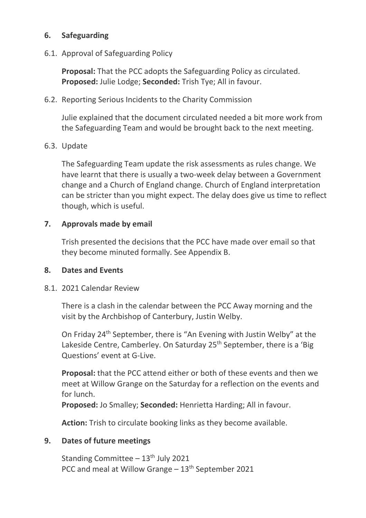## **6. Safeguarding**

6.1. Approval of Safeguarding Policy

**Proposal:** That the PCC adopts the Safeguarding Policy as circulated. **Proposed:** Julie Lodge; **Seconded:** Trish Tye; All in favour.

6.2. Reporting Serious Incidents to the Charity Commission

Julie explained that the document circulated needed a bit more work from the Safeguarding Team and would be brought back to the next meeting.

### 6.3. Update

The Safeguarding Team update the risk assessments as rules change. We have learnt that there is usually a two-week delay between a Government change and a Church of England change. Church of England interpretation can be stricter than you might expect. The delay does give us time to reflect though, which is useful.

## **7. Approvals made by email**

Trish presented the decisions that the PCC have made over email so that they become minuted formally. See Appendix B.

### **8. Dates and Events**

8.1. 2021 Calendar Review

There is a clash in the calendar between the PCC Away morning and the visit by the Archbishop of Canterbury, Justin Welby.

On Friday 24th September, there is "An Evening with Justin Welby" at the Lakeside Centre, Camberley. On Saturday 25<sup>th</sup> September, there is a 'Big Questions' event at G-Live.

**Proposal:** that the PCC attend either or both of these events and then we meet at Willow Grange on the Saturday for a reflection on the events and for lunch.

**Proposed:** Jo Smalley; **Seconded:** Henrietta Harding; All in favour.

**Action:** Trish to circulate booking links as they become available.

### **9. Dates of future meetings**

Standing Committee  $-13<sup>th</sup>$  July 2021 PCC and meal at Willow Grange - 13<sup>th</sup> September 2021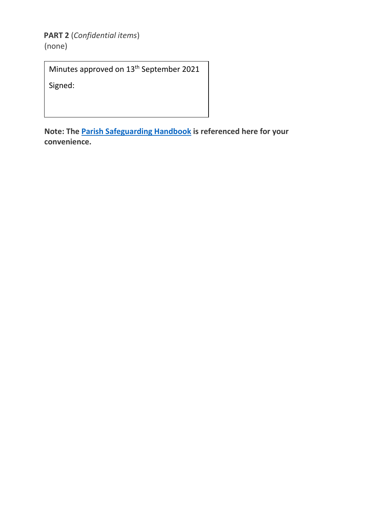**PART 2** (*Confidential items*)

(none)

Minutes approved on 13<sup>th</sup> September 2021

Signed:

**Note: The [Parish Safeguarding Handbook](https://www.churchofengland.org/sites/default/files/2019-03/Parish%20Safeguarding%20Handbook%20March%202019.pdf) is referenced here for your convenience.**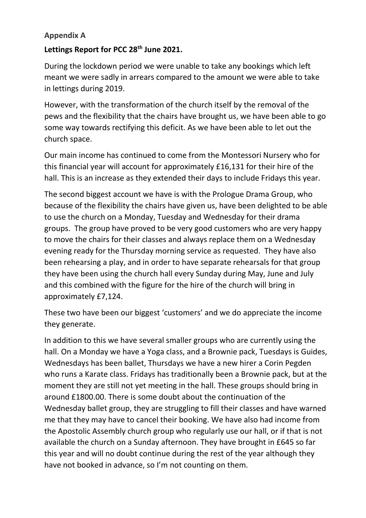## **Appendix A**

# **Lettings Report for PCC 28th June 2021.**

During the lockdown period we were unable to take any bookings which left meant we were sadly in arrears compared to the amount we were able to take in lettings during 2019.

However, with the transformation of the church itself by the removal of the pews and the flexibility that the chairs have brought us, we have been able to go some way towards rectifying this deficit. As we have been able to let out the church space.

Our main income has continued to come from the Montessori Nursery who for this financial year will account for approximately £16,131 for their hire of the hall. This is an increase as they extended their days to include Fridays this year.

The second biggest account we have is with the Prologue Drama Group, who because of the flexibility the chairs have given us, have been delighted to be able to use the church on a Monday, Tuesday and Wednesday for their drama groups. The group have proved to be very good customers who are very happy to move the chairs for their classes and always replace them on a Wednesday evening ready for the Thursday morning service as requested. They have also been rehearsing a play, and in order to have separate rehearsals for that group they have been using the church hall every Sunday during May, June and July and this combined with the figure for the hire of the church will bring in approximately £7,124.

These two have been our biggest 'customers' and we do appreciate the income they generate.

In addition to this we have several smaller groups who are currently using the hall. On a Monday we have a Yoga class, and a Brownie pack, Tuesdays is Guides, Wednesdays has been ballet, Thursdays we have a new hirer a Corin Pegden who runs a Karate class. Fridays has traditionally been a Brownie pack, but at the moment they are still not yet meeting in the hall. These groups should bring in around £1800.00. There is some doubt about the continuation of the Wednesday ballet group, they are struggling to fill their classes and have warned me that they may have to cancel their booking. We have also had income from the Apostolic Assembly church group who regularly use our hall, or if that is not available the church on a Sunday afternoon. They have brought in £645 so far this year and will no doubt continue during the rest of the year although they have not booked in advance, so I'm not counting on them.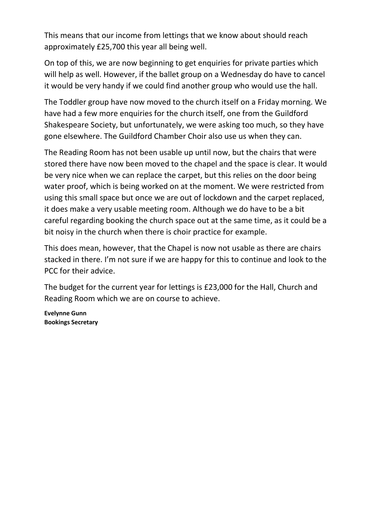This means that our income from lettings that we know about should reach approximately £25,700 this year all being well.

On top of this, we are now beginning to get enquiries for private parties which will help as well. However, if the ballet group on a Wednesday do have to cancel it would be very handy if we could find another group who would use the hall.

The Toddler group have now moved to the church itself on a Friday morning. We have had a few more enquiries for the church itself, one from the Guildford Shakespeare Society, but unfortunately, we were asking too much, so they have gone elsewhere. The Guildford Chamber Choir also use us when they can.

The Reading Room has not been usable up until now, but the chairs that were stored there have now been moved to the chapel and the space is clear. It would be very nice when we can replace the carpet, but this relies on the door being water proof, which is being worked on at the moment. We were restricted from using this small space but once we are out of lockdown and the carpet replaced, it does make a very usable meeting room. Although we do have to be a bit careful regarding booking the church space out at the same time, as it could be a bit noisy in the church when there is choir practice for example.

This does mean, however, that the Chapel is now not usable as there are chairs stacked in there. I'm not sure if we are happy for this to continue and look to the PCC for their advice.

The budget for the current year for lettings is £23,000 for the Hall, Church and Reading Room which we are on course to achieve.

**Evelynne Gunn Bookings Secretary**